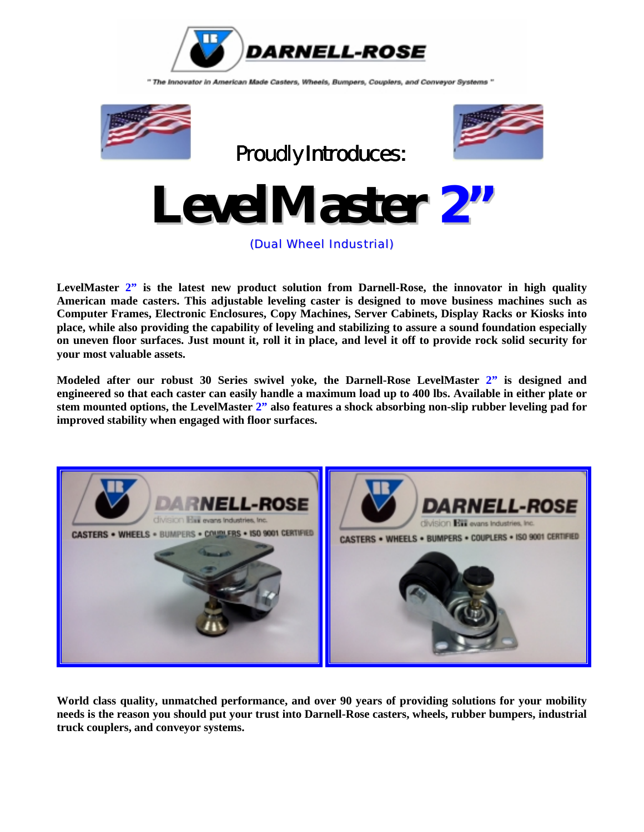

" The Innovator in American Made Casters, Wheels, Bumpers, Couplers, and Conveyor Systems "





**LevelMaster 2"**

(Dual Wheel Industrial)

**LevelMaster 2" is the latest new product solution from Darnell-Rose, the innovator in high quality American made casters. This adjustable leveling caster is designed to move business machines such as Computer Frames, Electronic Enclosures, Copy Machines, Server Cabinets, Display Racks or Kiosks into place, while also providing the capability of leveling and stabilizing to assure a sound foundation especially on uneven floor surfaces. Just mount it, roll it in place, and level it off to provide rock solid security for your most valuable assets.** 

**Modeled after our robust 30 Series swivel yoke, the Darnell-Rose LevelMaster 2" is designed and engineered so that each caster can easily handle a maximum load up to 400 lbs. Available in either plate or stem mounted options, the LevelMaster 2" also features a shock absorbing non-slip rubber leveling pad for improved stability when engaged with floor surfaces.** 



**World class quality, unmatched performance, and over 90 years of providing solutions for your mobility needs is the reason you should put your trust into Darnell-Rose casters, wheels, rubber bumpers, industrial truck couplers, and conveyor systems.**